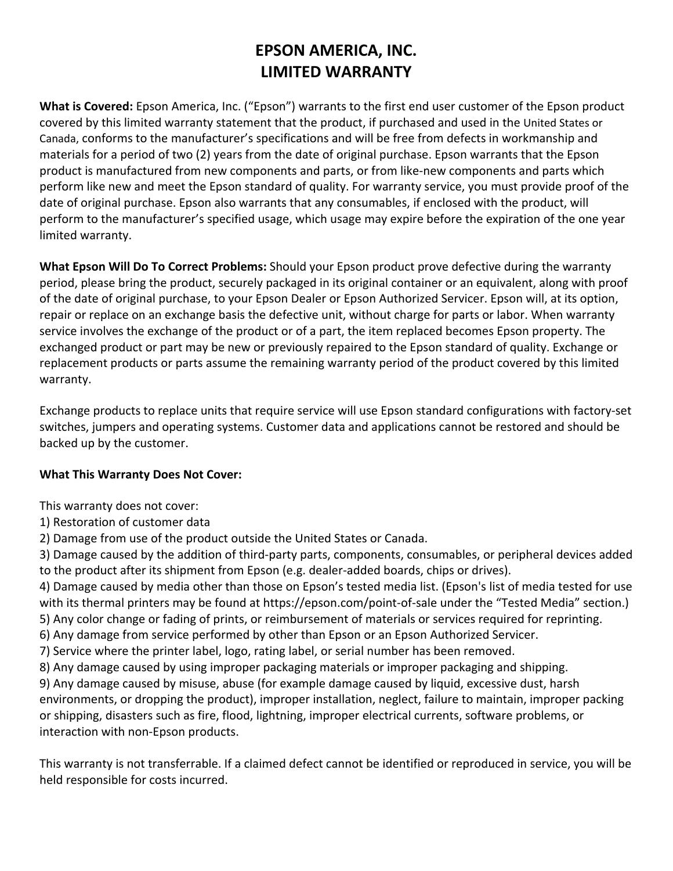## **EPSON AMERICA, INC. LIMITED WARRANTY**

**What is Covered:** Epson America, Inc. ("Epson") warrants to the first end user customer of the Epson product covered by this limited warranty statement that the product, if purchased and used in the United States or Canada, conforms to the manufacturer's specifications and will be free from defects in workmanship and materials for a period of two (2) years from the date of original purchase. Epson warrants that the Epson product is manufactured from new components and parts, or from like‐new components and parts which perform like new and meet the Epson standard of quality. For warranty service, you must provide proof of the date of original purchase. Epson also warrants that any consumables, if enclosed with the product, will perform to the manufacturer's specified usage, which usage may expire before the expiration of the one year limited warranty.

**What Epson Will Do To Correct Problems:** Should your Epson product prove defective during the warranty period, please bring the product, securely packaged in its original container or an equivalent, along with proof of the date of original purchase, to your Epson Dealer or Epson Authorized Servicer. Epson will, at its option, repair or replace on an exchange basis the defective unit, without charge for parts or labor. When warranty service involves the exchange of the product or of a part, the item replaced becomes Epson property. The exchanged product or part may be new or previously repaired to the Epson standard of quality. Exchange or replacement products or parts assume the remaining warranty period of the product covered by this limited warranty.

Exchange products to replace units that require service will use Epson standard configurations with factory‐set switches, jumpers and operating systems. Customer data and applications cannot be restored and should be backed up by the customer.

## **What This Warranty Does Not Cover:**

This warranty does not cover:

- 1) Restoration of customer data
- 2) Damage from use of the product outside the United States or Canada.

3) Damage caused by the addition of third‐party parts, components, consumables, or peripheral devices added to the product after its shipment from Epson (e.g. dealer-added boards, chips or drives).

4) Damage caused by media other than those on Epson's tested media list. (Epson's list of media tested for use with its thermal printers may be found at https://epson.com/point-of-sale under the "Tested Media" section.) 5) Any color change or fading of prints, or reimbursement of materials or services required for reprinting.

6) Any damage from service performed by other than Epson or an Epson Authorized Servicer.

- 7) Service where the printer label, logo, rating label, or serial number has been removed.
- 8) Any damage caused by using improper packaging materials or improper packaging and shipping.

9) Any damage caused by misuse, abuse (for example damage caused by liquid, excessive dust, harsh environments, or dropping the product), improper installation, neglect, failure to maintain, improper packing or shipping, disasters such as fire, flood, lightning, improper electrical currents, software problems, or interaction with non‐Epson products.

This warranty is not transferrable. If a claimed defect cannot be identified or reproduced in service, you will be held responsible for costs incurred.